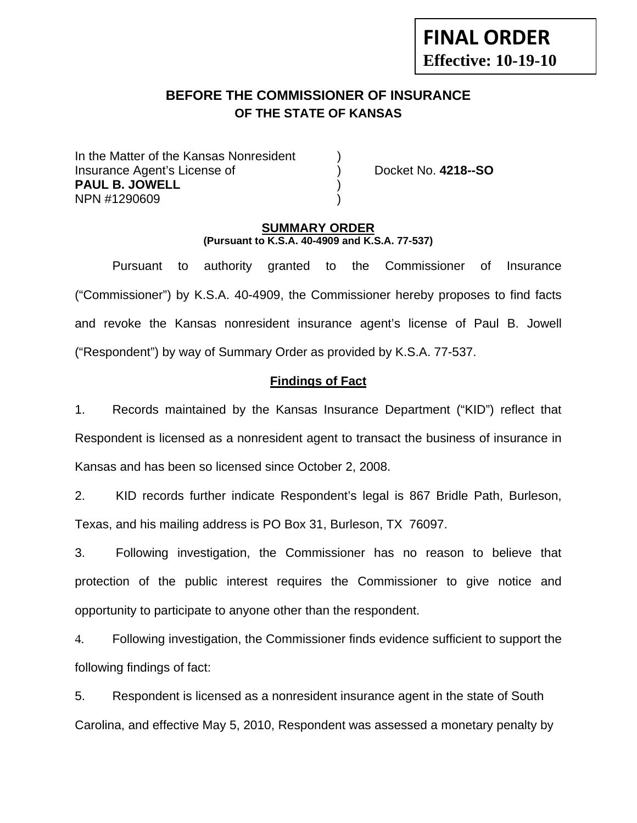# **FINAL ORDER Effective: 10-19-10**

# **BEFORE THE COMMISSIONER OF INSURANCE OF THE STATE OF KANSAS**

In the Matter of the Kansas Nonresident Insurance Agent's License of ) Docket No. **4218--SO PAUL B. JOWELL** ) NPN #1290609 )

#### **SUMMARY ORDER (Pursuant to K.S.A. 40-4909 and K.S.A. 77-537)**

 Pursuant to authority granted to the Commissioner of Insurance ("Commissioner") by K.S.A. 40-4909, the Commissioner hereby proposes to find facts and revoke the Kansas nonresident insurance agent's license of Paul B. Jowell ("Respondent") by way of Summary Order as provided by K.S.A. 77-537.

## **Findings of Fact**

1. Records maintained by the Kansas Insurance Department ("KID") reflect that Respondent is licensed as a nonresident agent to transact the business of insurance in Kansas and has been so licensed since October 2, 2008.

2. KID records further indicate Respondent's legal is 867 Bridle Path, Burleson, Texas, and his mailing address is PO Box 31, Burleson, TX 76097.

3. Following investigation, the Commissioner has no reason to believe that protection of the public interest requires the Commissioner to give notice and opportunity to participate to anyone other than the respondent.

4. Following investigation, the Commissioner finds evidence sufficient to support the following findings of fact:

5. Respondent is licensed as a nonresident insurance agent in the state of South Carolina, and effective May 5, 2010, Respondent was assessed a monetary penalty by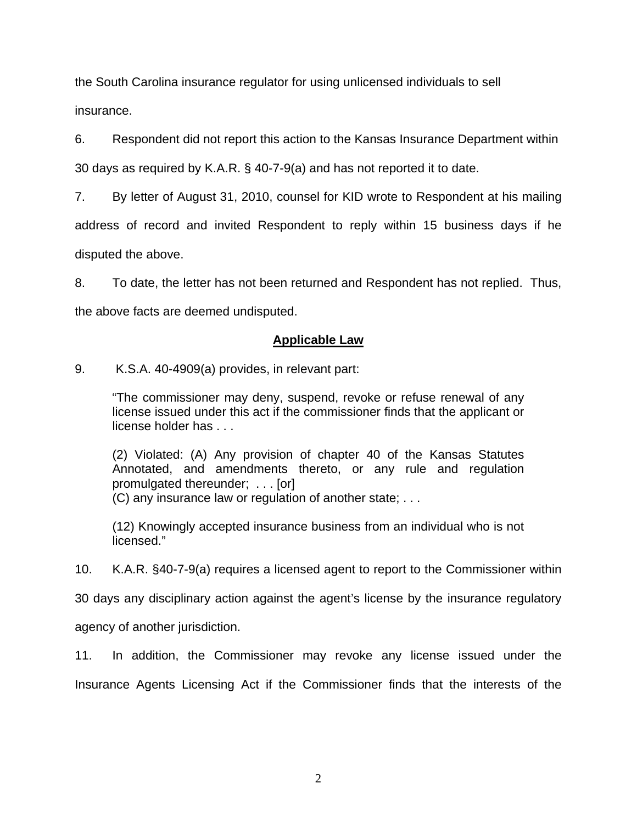the South Carolina insurance regulator for using unlicensed individuals to sell insurance.

6. Respondent did not report this action to the Kansas Insurance Department within

30 days as required by K.A.R. § 40-7-9(a) and has not reported it to date.

7. By letter of August 31, 2010, counsel for KID wrote to Respondent at his mailing

address of record and invited Respondent to reply within 15 business days if he

disputed the above.

8. To date, the letter has not been returned and Respondent has not replied. Thus,

the above facts are deemed undisputed.

# **Applicable Law**

9. K.S.A. 40-4909(a) provides, in relevant part:

"The commissioner may deny, suspend, revoke or refuse renewal of any license issued under this act if the commissioner finds that the applicant or license holder has . . .

(2) Violated: (A) Any provision of chapter 40 of the Kansas Statutes Annotated, and amendments thereto, or any rule and regulation promulgated thereunder; . . . [or]

(C) any insurance law or regulation of another state; . . .

(12) Knowingly accepted insurance business from an individual who is not licensed."

10. K.A.R. §40-7-9(a) requires a licensed agent to report to the Commissioner within

30 days any disciplinary action against the agent's license by the insurance regulatory

agency of another jurisdiction.

11. In addition, the Commissioner may revoke any license issued under the Insurance Agents Licensing Act if the Commissioner finds that the interests of the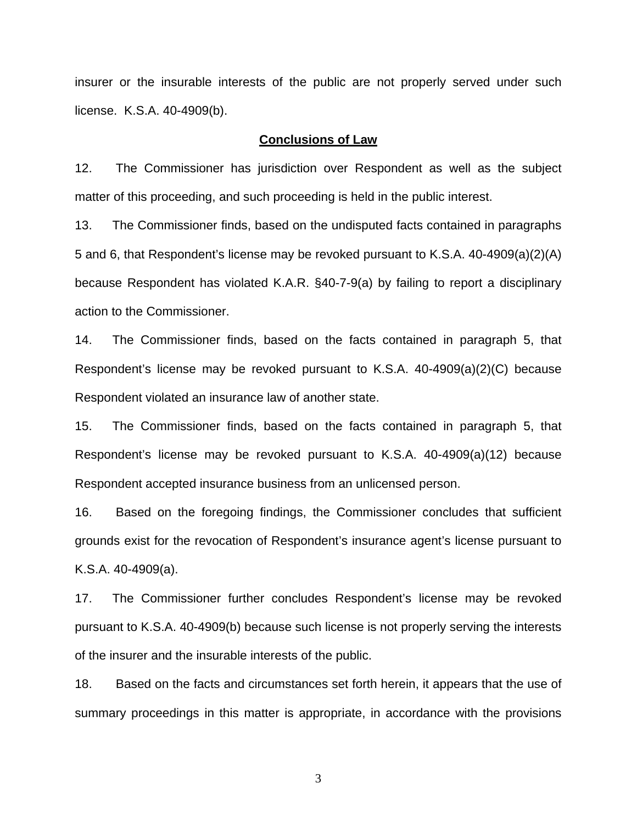insurer or the insurable interests of the public are not properly served under such license. K.S.A. 40-4909(b).

#### **Conclusions of Law**

12. The Commissioner has jurisdiction over Respondent as well as the subject matter of this proceeding, and such proceeding is held in the public interest.

13. The Commissioner finds, based on the undisputed facts contained in paragraphs 5 and 6, that Respondent's license may be revoked pursuant to K.S.A. 40-4909(a)(2)(A) because Respondent has violated K.A.R. §40-7-9(a) by failing to report a disciplinary action to the Commissioner.

14. The Commissioner finds, based on the facts contained in paragraph 5, that Respondent's license may be revoked pursuant to K.S.A. 40-4909(a)(2)(C) because Respondent violated an insurance law of another state.

15. The Commissioner finds, based on the facts contained in paragraph 5, that Respondent's license may be revoked pursuant to K.S.A. 40-4909(a)(12) because Respondent accepted insurance business from an unlicensed person.

16. Based on the foregoing findings, the Commissioner concludes that sufficient grounds exist for the revocation of Respondent's insurance agent's license pursuant to K.S.A. 40-4909(a).

17. The Commissioner further concludes Respondent's license may be revoked pursuant to K.S.A. 40-4909(b) because such license is not properly serving the interests of the insurer and the insurable interests of the public.

18. Based on the facts and circumstances set forth herein, it appears that the use of summary proceedings in this matter is appropriate, in accordance with the provisions

3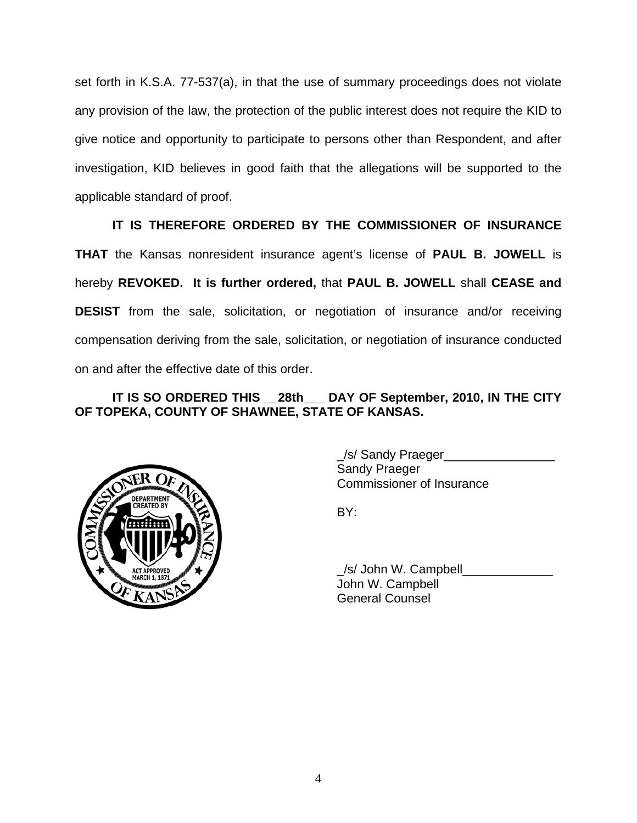set forth in K.S.A. 77-537(a), in that the use of summary proceedings does not violate any provision of the law, the protection of the public interest does not require the KID to give notice and opportunity to participate to persons other than Respondent, and after investigation, KID believes in good faith that the allegations will be supported to the applicable standard of proof.

# **IT IS THEREFORE ORDERED BY THE COMMISSIONER OF INSURANCE**

**THAT** the Kansas nonresident insurance agent's license of **PAUL B. JOWELL** is hereby **REVOKED. It is further ordered,** that **PAUL B. JOWELL** shall **CEASE and DESIST** from the sale, solicitation, or negotiation of insurance and/or receiving compensation deriving from the sale, solicitation, or negotiation of insurance conducted on and after the effective date of this order.

## **IT IS SO ORDERED THIS \_\_28th\_\_\_ DAY OF September, 2010, IN THE CITY OF TOPEKA, COUNTY OF SHAWNEE, STATE OF KANSAS.**



 \_/s/ Sandy Praeger\_\_\_\_\_\_\_\_\_\_\_\_\_\_\_\_ Sandy Praeger Commissioner of Insurance

/s/ John W. Campbell John W. Campbell General Counsel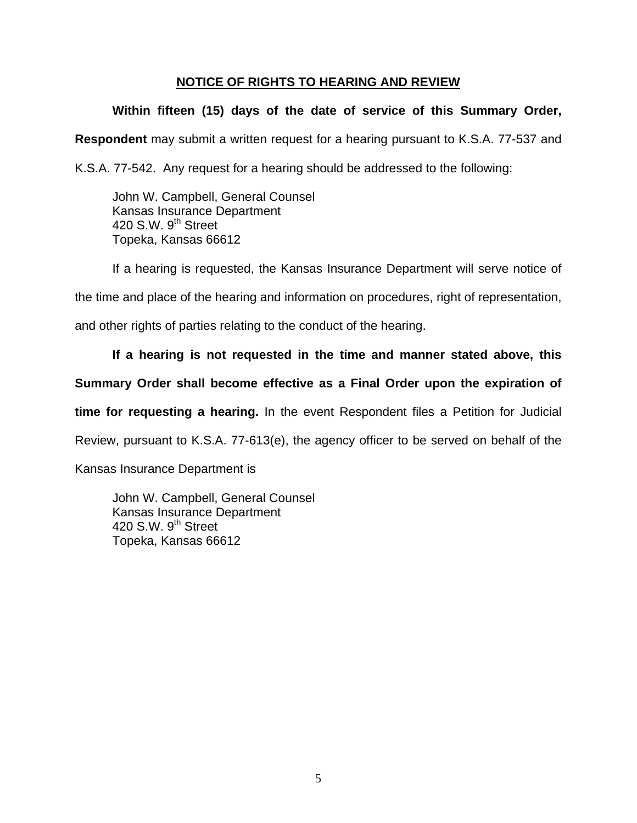#### **NOTICE OF RIGHTS TO HEARING AND REVIEW**

## **Within fifteen (15) days of the date of service of this Summary Order,**

**Respondent** may submit a written request for a hearing pursuant to K.S.A. 77-537 and

K.S.A. 77-542. Any request for a hearing should be addressed to the following:

 John W. Campbell, General Counsel Kansas Insurance Department 420 S.W. 9<sup>th</sup> Street Topeka, Kansas 66612

If a hearing is requested, the Kansas Insurance Department will serve notice of

the time and place of the hearing and information on procedures, right of representation,

and other rights of parties relating to the conduct of the hearing.

#### **If a hearing is not requested in the time and manner stated above, this**

#### **Summary Order shall become effective as a Final Order upon the expiration of**

**time for requesting a hearing.** In the event Respondent files a Petition for Judicial

Review, pursuant to K.S.A. 77-613(e), the agency officer to be served on behalf of the

Kansas Insurance Department is

 John W. Campbell, General Counsel Kansas Insurance Department 420 S.W.  $9<sup>th</sup>$  Street Topeka, Kansas 66612